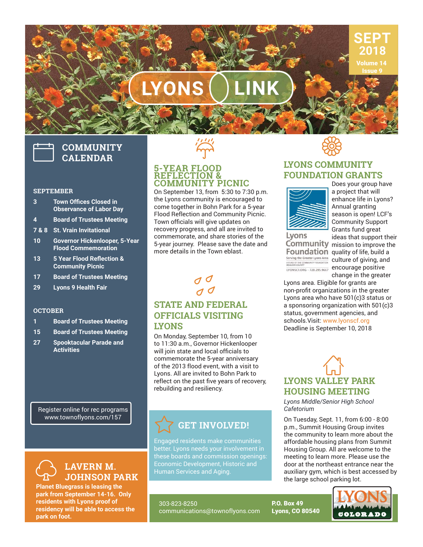

Issue 9

# $LYONS$

## **COMMUNITY CALENDAR**

#### **SEPTEMBER**

- **3** Town Offices Closed in **Observance of Labor Day**
- **4 Board of Trustees Meeting**
- **7 & 8 St. Vrain Invitational**
- **10 Governor Hickenlooper, 5-Year Flood Commemoration**
- 13 5 Year Flood Reflection & **Community Picnic**
- **17 Board of Trustees Meeting**
- **29 Lyons 9 Health Fair**

#### **OCTOBER**

- **1 Board of Trustees Meeting**
- **15 Board of Trustees Meeting**
- **27 Spooktacular Parade and Activities**

Register online for rec programs www.townoflyons.com/157



**Planet Bluegrass is leasing the park from September 14-16. Only residents with Lyons proof of residency will be able to access the park on foot.**



#### **5-YEAR FLOOD REFLECTION & COMMUNITY PICNIC**

On September 13, from 5:30 to 7:30 p.m. the Lyons community is encouraged to come together in Bohn Park for a 5-year Flood Reflection and Community Picnic. Town officials will give updates on recovery progress, and all are invited to commemorate, and share stories of the 5-year journey. Please save the date and more details in the Town eblast.



## **STATE AND FEDERAL OFFICIALS VISITING LYONS**

On Monday, September 10, from 10 to 11:30 a.m., Governor Hickenlooper will join state and local officials to commemorate the 5-year anniversary of the 2013 flood event, with a visit to Lyons. All are invited to Bohn Park to reflect on the past five years of recovery. rebuilding and resiliency.

## **GET INVOLVED!**

Engaged residents make communities better. Lyons needs your involvement in these boards and commission openings: Human Services and Aging.

303-823-8250 communications@townoflyons.com



## **LYONS COMMUNITY FOUNDATION GRANTS**



Does your group have a project that will enhance life in Lyons? Annual granting season is open! LCF's Community Support Grants fund great ideas that support their

Lyons

Community mission to improve the Foundation quality of life, build a Serving the Greater Lyons Area<br>AFUND OF THE COMMUNITY FOUNDATION CULTURE Of Giving, and ENONSCEORG 220.295.9667 encourage positive change in the greater

Lyons area. Eligible for grants are non-profit organizations in the greater Lyons area who have 501(c)3 status or a sponsoring organization with 501(c)3 status, government agencies, and schools.Visit: www.lyonscf.org Deadline is September 10, 2018



*Lyons Middle/Senior High School Cafetorium*

P.O. Box 49 Lyons, CO 80540

On Tuesday, Sept. 11, from 6:00 - 8:00 p.m., Summit Housing Group invites the community to learn more about the affordable housing plans from Summit Housing Group. All are welcome to the meeting to learn more. Please use the door at the northeast entrance near the auxiliary gym, which is best accessed by the large school parking lot.